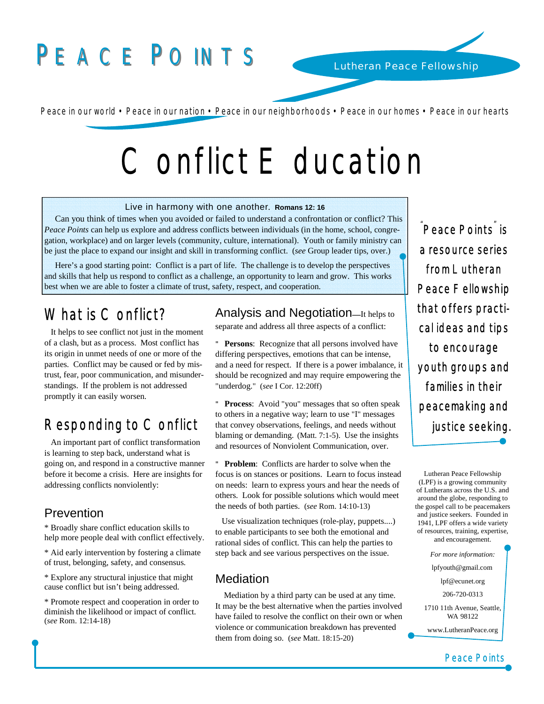## PEACE POINTS

Peace in our world • Peace in our nation • Peace in our neighborhoods • Peace in our homes • Peace in our hearts

# Conflict E ducation

#### Live in harmony with one another. **Romans 12: 16**

 Can you think of times when you avoided or failed to understand a confrontation or conflict? This *Peace Points* can help us explore and address conflicts between individuals (in the home, school, congregation, workplace) and on larger levels (community, culture, international). Youth or family ministry can be just the place to expand our insight and skill in transforming conflict. (*see* Group leader tips, over.)

 Here's a good starting point: Conflict is a part of life. The challenge is to develop the perspectives and skills that help us respond to conflict as a challenge, an opportunity to learn and grow. This works best when we are able to foster a climate of trust, safety, respect, and cooperation.

### What is Conflict?

l

 It helps to see conflict not just in the moment of a clash, but as a process. Most conflict has its origin in unmet needs of one or more of the parties. Conflict may be caused or fed by mistrust, fear, poor communication, and misunderstandings. If the problem is not addressed promptly it can easily worsen.

## Responding to Conflict

 An important part of conflict transformation is learning to step back, understand what is going on, and respond in a constructive manner before it become a crisis. Here are insights for addressing conflicts nonviolently:

#### Prevention

\* Broadly share conflict education skills to help more people deal with conflict effectively.

\* Aid early intervention by fostering a climate of trust, belonging, safety, and consensus.

\* Explore any structural injustice that might cause conflict but isn't being addressed.

\* Promote respect and cooperation in order to diminish the likelihood or impact of conflict. (*see* Rom. 12:14-18)

Analysis and Negotiation**—**It helps to

separate and address all three aspects of a conflict:

" **Persons**: Recognize that all persons involved have differing perspectives, emotions that can be intense, and a need for respect. If there is a power imbalance, it should be recognized and may require empowering the "underdog." (*see* I Cor. 12:20ff)

" **Process**: Avoid "you" messages that so often speak to others in a negative way; learn to use "I" messages that convey observations, feelings, and needs without blaming or demanding. (Matt. 7:1-5). Use the insights and resources of Nonviolent Communication, over.

" **Problem**: Conflicts are harder to solve when the focus is on stances or positions. Learn to focus instead on needs: learn to express yours and hear the needs of others. Look for possible solutions which would meet the needs of both parties. (*see* Rom. 14:10-13)

 Use visualization techniques (role-play, puppets....) to enable participants to see both the emotional and rational sides of conflict. This can help the parties to step back and see various perspectives on the issue.

#### **Mediation**

 Mediation by a third party can be used at any time. It may be the best alternative when the parties involved have failed to resolve the conflict on their own or when violence or communication breakdown has prevented them from doing so. (*see* Matt. 18:15-20)

<sup>"</sup>Peace Points<sup>"</sup> is a resource series from Lutheran Peace Fellowship that offers practical ideas and tips to encourage youth groups and families in their peacemaking and justice seeking.

Lutheran Peace Fellowship (LPF) is a growing community of Lutherans across the U.S. and around the globe, responding to the gospel call to be peacemakers and justice seekers. Founded in 1941, LPF offers a wide variety of resources, training, expertise, and encouragement.

> *For more information:*  lpfyouth@gmail.com

> > lpf@ecunet.org

206-720-0313

1710 11th Avenue, Seattle, WA 98122

www.LutheranPeace.org